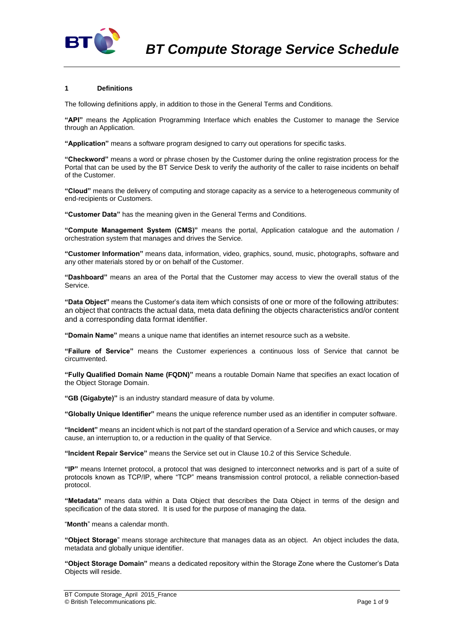

## **1 Definitions**

The following definitions apply, in addition to those in the General Terms and Conditions.

**"API"** means the Application Programming Interface which enables the Customer to manage the Service through an Application.

**"Application"** means a software program designed to carry out operations for specific tasks.

**"Checkword"** means a word or phrase chosen by the Customer during the online registration process for the Portal that can be used by the BT Service Desk to verify the authority of the caller to raise incidents on behalf of the Customer.

**"Cloud"** means the delivery of computing and storage capacity as a service to a heterogeneous community of end-recipients or Customers.

**"Customer Data"** has the meaning given in the General Terms and Conditions.

**"Compute Management System (CMS)"** means the portal, Application catalogue and the automation / orchestration system that manages and drives the Service.

**"Customer Information"** means data, information, video, graphics, sound, music, photographs, software and any other materials stored by or on behalf of the Customer.

**"Dashboard"** means an area of the Portal that the Customer may access to view the overall status of the Service.

**"Data Object"** means the Customer's data item which consists of one or more of the following attributes: an object that contracts the actual data, meta data defining the objects characteristics and/or content and a corresponding data format identifier.

**"Domain Name"** means a unique name that identifies an internet resource such as a website.

**"Failure of Service"** means the Customer experiences a continuous loss of Service that cannot be circumvented.

**"Fully Qualified Domain Name (FQDN)"** means a routable Domain Name that specifies an exact location of the Object Storage Domain.

**"GB (Gigabyte)"** is an industry standard measure of data by volume.

**"Globally Unique Identifier"** means the unique reference number used as an identifier in computer software.

**"Incident"** means an incident which is not part of the standard operation of a Service and which causes, or may cause, an interruption to, or a reduction in the quality of that Service.

**"Incident Repair Service"** means the Service set out in Clause [10.2](#page-3-0) of this Service Schedule.

**"IP"** means Internet protocol, a protocol that was designed to interconnect networks and is part of a suite of protocols known as TCP/IP, where "TCP" means transmission control protocol, a reliable connection-based protocol.

**"Metadata"** means data within a Data Object that describes the Data Object in terms of the design and specification of the data stored. It is used for the purpose of managing the data.

"**Month**" means a calendar month.

**"Object Storage**" means storage architecture that manages data as an object. An object includes the data, metadata and globally unique identifier.

**"Object Storage Domain"** means a dedicated repository within the Storage Zone where the Customer's Data Objects will reside.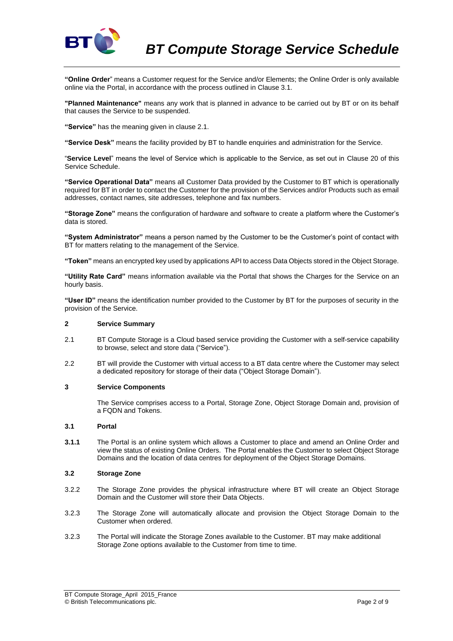

**"Online Order**" means a Customer request for the Service and/or Elements; the Online Order is only available online via the Portal, in accordance with the process outlined in Clause [3.1.](#page-1-0)

**"Planned Maintenance"** means any work that is planned in advance to be carried out by BT or on its behalf that causes the Service to be suspended.

**"Service"** has the meaning given in clause 2.1.

**"Service Desk"** means the facility provided by BT to handle enquiries and administration for the Service.

"**Service Level**" means the level of Service which is applicable to the Service, as set out in Clause 20 of this Service Schedule.

**"Service Operational Data"** means all Customer Data provided by the Customer to BT which is operationally required for BT in order to contact the Customer for the provision of the Services and/or Products such as email addresses, contact names, site addresses, telephone and fax numbers.

**"Storage Zone"** means the configuration of hardware and software to create a platform where the Customer's data is stored.

**"System Administrator"** means a person named by the Customer to be the Customer's point of contact with BT for matters relating to the management of the Service.

**"Token"** means an encrypted key used by applications API to access Data Objects stored in the Object Storage.

**"Utility Rate Card"** means information available via the Portal that shows the Charges for the Service on an hourly basis.

**"User ID"** means the identification number provided to the Customer by BT for the purposes of security in the provision of the Service.

## **2 Service Summary**

- 2.1 BT Compute Storage is a Cloud based service providing the Customer with a self-service capability to browse, select and store data ("Service").
- 2.2 BT will provide the Customer with virtual access to a BT data centre where the Customer may select a dedicated repository for storage of their data ("Object Storage Domain").

### **3 Service Components**

The Service comprises access to a Portal, Storage Zone, Object Storage Domain and, provision of a FQDN and Tokens.

### <span id="page-1-0"></span>**3.1 Portal**

**3.1.1** The Portal is an online system which allows a Customer to place and amend an Online Order and view the status of existing Online Orders. The Portal enables the Customer to select Object Storage Domains and the location of data centres for deployment of the Object Storage Domains.

## **3.2 Storage Zone**

- 3.2.2 The Storage Zone provides the physical infrastructure where BT will create an Object Storage Domain and the Customer will store their Data Objects.
- 3.2.3 The Storage Zone will automatically allocate and provision the Object Storage Domain to the Customer when ordered.
- 3.2.3 The Portal will indicate the Storage Zones available to the Customer. BT may make additional Storage Zone options available to the Customer from time to time.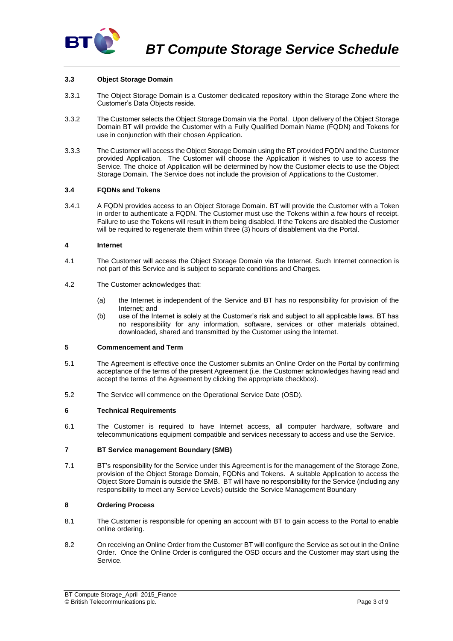

## **3.3 Object Storage Domain**

- 3.3.1 The Object Storage Domain is a Customer dedicated repository within the Storage Zone where the Customer's Data Objects reside.
- 3.3.2 The Customer selects the Object Storage Domain via the Portal. Upon delivery of the Object Storage Domain BT will provide the Customer with a Fully Qualified Domain Name (FQDN) and Tokens for use in conjunction with their chosen Application.
- 3.3.3 The Customer will access the Object Storage Domain using the BT provided FQDN and the Customer provided Application. The Customer will choose the Application it wishes to use to access the Service. The choice of Application will be determined by how the Customer elects to use the Object Storage Domain. The Service does not include the provision of Applications to the Customer.

### **3.4 FQDNs and Tokens**

3.4.1 A FQDN provides access to an Object Storage Domain. BT will provide the Customer with a Token in order to authenticate a FQDN. The Customer must use the Tokens within a few hours of receipt. Failure to use the Tokens will result in them being disabled. If the Tokens are disabled the Customer will be required to regenerate them within three (3) hours of disablement via the Portal.

### **4 Internet**

- 4.1 The Customer will access the Object Storage Domain via the Internet. Such Internet connection is not part of this Service and is subject to separate conditions and Charges.
- 4.2 The Customer acknowledges that:
	- (a) the Internet is independent of the Service and BT has no responsibility for provision of the Internet; and
	- (b) use of the Internet is solely at the Customer's risk and subject to all applicable laws. BT has no responsibility for any information, software, services or other materials obtained, downloaded, shared and transmitted by the Customer using the Internet.

# **5 Commencement and Term**

- 5.1 The Agreement is effective once the Customer submits an Online Order on the Portal by confirming acceptance of the terms of the present Agreement (i.e. the Customer acknowledges having read and accept the terms of the Agreement by clicking the appropriate checkbox).
- 5.2 The Service will commence on the Operational Service Date (OSD).

## **6 Technical Requirements**

6.1 The Customer is required to have Internet access, all computer hardware, software and telecommunications equipment compatible and services necessary to access and use the Service.

## **7 BT Service management Boundary (SMB)**

7.1 BT's responsibility for the Service under this Agreement is for the management of the Storage Zone, provision of the Object Storage Domain, FQDNs and Tokens. A suitable Application to access the Object Store Domain is outside the SMB. BT will have no responsibility for the Service (including any responsibility to meet any Service Levels) outside the Service Management Boundary

# **8 Ordering Process**

- 8.1 The Customer is responsible for opening an account with BT to gain access to the Portal to enable online ordering.
- 8.2 On receiving an Online Order from the Customer BT will configure the Service as set out in the Online Order. Once the Online Order is configured the OSD occurs and the Customer may start using the Service.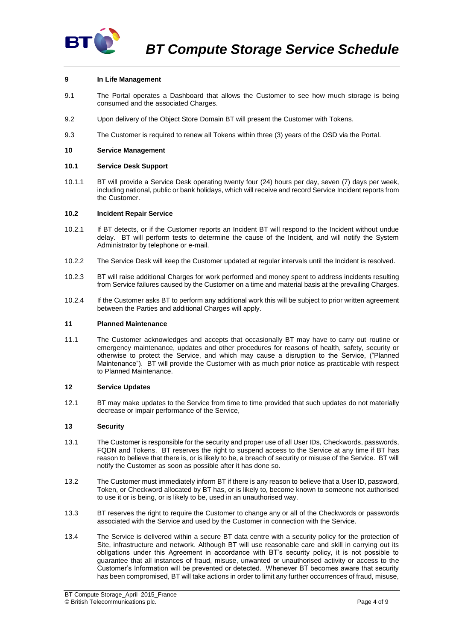

## **9 In Life Management**

- 9.1 The Portal operates a Dashboard that allows the Customer to see how much storage is being consumed and the associated Charges.
- 9.2 Upon delivery of the Object Store Domain BT will present the Customer with Tokens.
- 9.3 The Customer is required to renew all Tokens within three (3) years of the OSD via the Portal.

### **10 Service Management**

### **10.1 Service Desk Support**

10.1.1 BT will provide a Service Desk operating twenty four (24) hours per day, seven (7) days per week, including national, public or bank holidays, which will receive and record Service Incident reports from the Customer.

### <span id="page-3-0"></span>**10.2 Incident Repair Service**

- 10.2.1 If BT detects, or if the Customer reports an Incident BT will respond to the Incident without undue delay. BT will perform tests to determine the cause of the Incident, and will notify the System Administrator by telephone or e-mail.
- 10.2.2 The Service Desk will keep the Customer updated at regular intervals until the Incident is resolved.
- 10.2.3 BT will raise additional Charges for work performed and money spent to address incidents resulting from Service failures caused by the Customer on a time and material basis at the prevailing Charges.
- 10.2.4 If the Customer asks BT to perform any additional work this will be subject to prior written agreement between the Parties and additional Charges will apply.

### **11 Planned Maintenance**

11.1 The Customer acknowledges and accepts that occasionally BT may have to carry out routine or emergency maintenance, updates and other procedures for reasons of health, safety, security or otherwise to protect the Service, and which may cause a disruption to the Service, ("Planned Maintenance"). BT will provide the Customer with as much prior notice as practicable with respect to Planned Maintenance.

### **12 Service Updates**

12.1 BT may make updates to the Service from time to time provided that such updates do not materially decrease or impair performance of the Service,

### **13 Security**

- 13.1 The Customer is responsible for the security and proper use of all User IDs, Checkwords, passwords, FQDN and Tokens. BT reserves the right to suspend access to the Service at any time if BT has reason to believe that there is, or is likely to be, a breach of security or misuse of the Service. BT will notify the Customer as soon as possible after it has done so.
- 13.2 The Customer must immediately inform BT if there is any reason to believe that a User ID, password, Token, or Checkword allocated by BT has, or is likely to, become known to someone not authorised to use it or is being, or is likely to be, used in an unauthorised way.
- 13.3 BT reserves the right to require the Customer to change any or all of the Checkwords or passwords associated with the Service and used by the Customer in connection with the Service.
- 13.4 The Service is delivered within a secure BT data centre with a security policy for the protection of Site, infrastructure and network. Although BT will use reasonable care and skill in carrying out its obligations under this Agreement in accordance with BT's security policy, it is not possible to guarantee that all instances of fraud, misuse, unwanted or unauthorised activity or access to the Customer's Information will be prevented or detected. Whenever BT becomes aware that security has been compromised, BT will take actions in order to limit any further occurrences of fraud, misuse,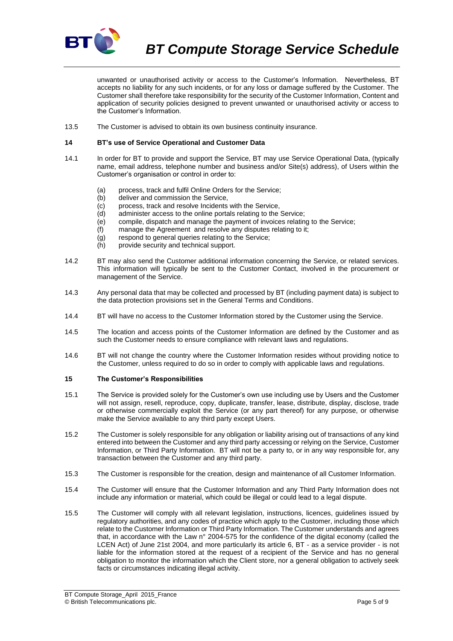

*BT Compute Storage Service Schedule*

unwanted or unauthorised activity or access to the Customer's Information. Nevertheless, BT accepts no liability for any such incidents, or for any loss or damage suffered by the Customer. The Customer shall therefore take responsibility for the security of the Customer Information, Content and application of security policies designed to prevent unwanted or unauthorised activity or access to the Customer's Information.

13.5 The Customer is advised to obtain its own business continuity insurance.

## **14 BT's use of Service Operational and Customer Data**

- 14.1 In order for BT to provide and support the Service, BT may use Service Operational Data, (typically name, email address, telephone number and business and/or Site(s) address), of Users within the Customer's organisation or control in order to:
	- (a) process, track and fulfil Online Orders for the Service;
	- (b) deliver and commission the Service,
	- (c) process, track and resolve Incidents with the Service,
	- (d) administer access to the online portals relating to the Service;
	- (e) compile, dispatch and manage the payment of invoices relating to the Service;
	- (f) manage the Agreement and resolve any disputes relating to it;
	- (g) respond to general queries relating to the Service;
	- (h) provide security and technical support.
- 14.2 BT may also send the Customer additional information concerning the Service, or related services. This information will typically be sent to the Customer Contact, involved in the procurement or management of the Service.
- 14.3 Any personal data that may be collected and processed by BT (including payment data) is subject to the data protection provisions set in the General Terms and Conditions.
- 14.4 BT will have no access to the Customer Information stored by the Customer using the Service.
- 14.5 The location and access points of the Customer Information are defined by the Customer and as such the Customer needs to ensure compliance with relevant laws and regulations.
- 14.6 BT will not change the country where the Customer Information resides without providing notice to the Customer, unless required to do so in order to comply with applicable laws and regulations.

## <span id="page-4-0"></span>**15 The Customer's Responsibilities**

- 15.1 The Service is provided solely for the Customer's own use including use by Users and the Customer will not assign, resell, reproduce, copy, duplicate, transfer, lease, distribute, display, disclose, trade or otherwise commercially exploit the Service (or any part thereof) for any purpose, or otherwise make the Service available to any third party except Users.
- 15.2 The Customer is solely responsible for any obligation or liability arising out of transactions of any kind entered into between the Customer and any third party accessing or relying on the Service, Customer Information, or Third Party Information. BT will not be a party to, or in any way responsible for, any transaction between the Customer and any third party.
- 15.3 The Customer is responsible for the creation, design and maintenance of all Customer Information.
- 15.4 The Customer will ensure that the Customer Information and any Third Party Information does not include any information or material, which could be illegal or could lead to a legal dispute.
- 15.5 The Customer will comply with all relevant legislation, instructions, licences, guidelines issued by regulatory authorities, and any codes of practice which apply to the Customer, including those which relate to the Customer Information or Third Party Information. The Customer understands and agrees that, in accordance with the Law n° 2004-575 for the confidence of the digital economy (called the LCEN Act) of June 21st 2004, and more particularly its article 6, BT - as a service provider - is not liable for the information stored at the request of a recipient of the Service and has no general obligation to monitor the information which the Client store, nor a general obligation to actively seek facts or circumstances indicating illegal activity.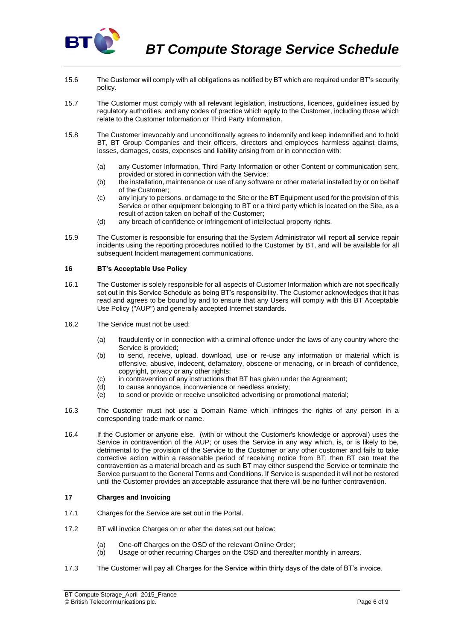

- 15.6 The Customer will comply with all obligations as notified by BT which are required under BT's security policy.
- 15.7 The Customer must comply with all relevant legislation, instructions, licences, guidelines issued by regulatory authorities, and any codes of practice which apply to the Customer, including those which relate to the Customer Information or Third Party Information.
- 15.8 The Customer irrevocably and unconditionally agrees to indemnify and keep indemnified and to hold BT, BT Group Companies and their officers, directors and employees harmless against claims, losses, damages, costs, expenses and liability arising from or in connection with:
	- (a) any Customer Information, Third Party Information or other Content or communication sent, provided or stored in connection with the Service;
	- (b) the installation, maintenance or use of any software or other material installed by or on behalf of the Customer;
	- (c) any injury to persons, or damage to the Site or the BT Equipment used for the provision of this Service or other equipment belonging to BT or a third party which is located on the Site, as a result of action taken on behalf of the Customer;
	- (d) any breach of confidence or infringement of intellectual property rights.
- 15.9 The Customer is responsible for ensuring that the System Administrator will report all service repair incidents using the reporting procedures notified to the Customer by BT, and will be available for all subsequent Incident management communications.

## **16 BT's Acceptable Use Policy**

- 16.1 The Customer is solely responsible for all aspects of Customer Information which are not specifically set out in this Service Schedule as being BT's responsibility. The Customer acknowledges that it has read and agrees to be bound by and to ensure that any Users will comply with this BT Acceptable Use Policy ("AUP") and generally accepted Internet standards.
- 16.2 The Service must not be used:
	- (a) fraudulently or in connection with a criminal offence under the laws of any country where the Service is provided;
	- (b) to send, receive, upload, download, use or re-use any information or material which is offensive, abusive, indecent, defamatory, obscene or menacing, or in breach of confidence, copyright, privacy or any other rights;
	- (c) in contravention of any instructions that BT has given under the Agreement;<br>(d) to cause annovance, inconvenience or needless anxiety:
	- to cause annoyance, inconvenience or needless anxiety;
	- (e) to send or provide or receive unsolicited advertising or promotional material;
- 16.3 The Customer must not use a Domain Name which infringes the rights of any person in a corresponding trade mark or name.
- 16.4 If the Customer or anyone else, (with or without the Customer's knowledge or approval) uses the Service in contravention of the AUP; or uses the Service in any way which, is, or is likely to be, detrimental to the provision of the Service to the Customer or any other customer and fails to take corrective action within a reasonable period of receiving notice from BT, then BT can treat the contravention as a material breach and as such BT may either suspend the Service or terminate the Service pursuant to the General Terms and Conditions. If Service is suspended it will not be restored until the Customer provides an acceptable assurance that there will be no further contravention.

## **17 Charges and Invoicing**

- 17.1 Charges for the Service are set out in the Portal.
- 17.2 BT will invoice Charges on or after the dates set out below:
	- (a) One-off Charges on the OSD of the relevant Online Order;
	- (b) Usage or other recurring Charges on the OSD and thereafter monthly in arrears.
- 17.3 The Customer will pay all Charges for the Service within thirty days of the date of BT's invoice.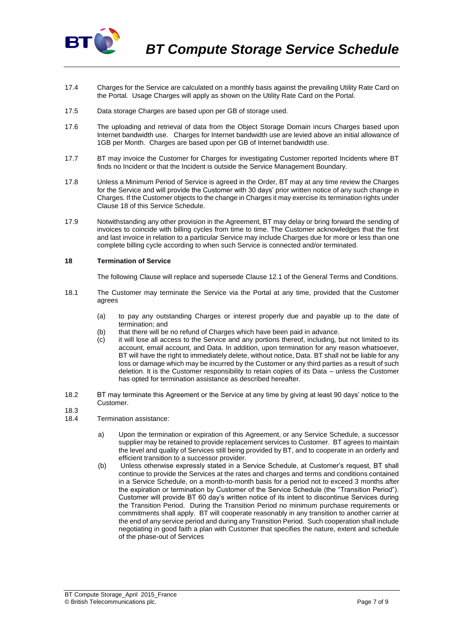

- 17.4 Charges for the Service are calculated on a monthly basis against the prevailing Utility Rate Card on the Portal. Usage Charges will apply as shown on the Utility Rate Card on the Portal.
- 17.5 Data storage Charges are based upon per GB of storage used.
- 17.6 The uploading and retrieval of data from the Object Storage Domain incurs Charges based upon Internet bandwidth use. Charges for Internet bandwidth use are levied above an initial allowance of 1GB per Month. Charges are based upon per GB of Internet bandwidth use.
- 17.7 BT may invoice the Customer for Charges for investigating Customer reported Incidents where BT finds no Incident or that the Incident is outside the Service Management Boundary.
- 17.8 Unless a Minimum Period of Service is agreed in the Order, BT may at any time review the Charges for the Service and will provide the Customer with 30 days' prior written notice of any such change in Charges. If the Customer objects to the change in Charges it may exercise its termination rights under Clause 18 of this Service Schedule.
- 17.9 Notwithstanding any other provision in the Agreement, BT may delay or bring forward the sending of invoices to coincide with billing cycles from time to time. The Customer acknowledges that the first and last invoice in relation to a particular Service may include Charges due for more or less than one complete billing cycle according to when such Service is connected and/or terminated.

## **18 Termination of Service**

The following Clause will replace and supersede Clause 12.1 of the General Terms and Conditions.

- 18.1 The Customer may terminate the Service via the Portal at any time, provided that the Customer agrees
	- (a) to pay any outstanding Charges or interest properly due and payable up to the date of termination; and
	- (b) that there will be no refund of Charges which have been paid in advance.
	- (c) it will lose all access to the Service and any portions thereof, including, but not limited to its account, email account, and Data. In addition, upon termination for any reason whatsoever, BT will have the right to immediately delete, without notice, Data. BT shall not be liable for any loss or damage which may be incurred by the Customer or any third parties as a result of such deletion. It is the Customer responsibility to retain copies of its Data – unless the Customer has opted for termination assistance as described hereafter.
- 18.2 BT may terminate this Agreement or the Service at any time by giving at least 90 days' notice to the Customer.
- 18.3
- 18.4 Termination assistance:
	- a) Upon the termination or expiration of this Agreement, or any Service Schedule, a successor supplier may be retained to provide replacement services to Customer. BT agrees to maintain the level and quality of Services still being provided by BT, and to cooperate in an orderly and efficient transition to a successor provider.
	- (b) Unless otherwise expressly stated in a Service Schedule, at Customer's request, BT shall continue to provide the Services at the rates and charges and terms and conditions contained in a Service Schedule, on a month-to-month basis for a period not to exceed 3 months after the expiration or termination by Customer of the Service Schedule (the "Transition Period"). Customer will provide BT 60 day's written notice of its intent to discontinue Services during the Transition Period. During the Transition Period no minimum purchase requirements or commitments shall apply. BT will cooperate reasonably in any transition to another carrier at the end of any service period and during any Transition Period. Such cooperation shall include negotiating in good faith a plan with Customer that specifies the nature, extent and schedule of the phase-out of Services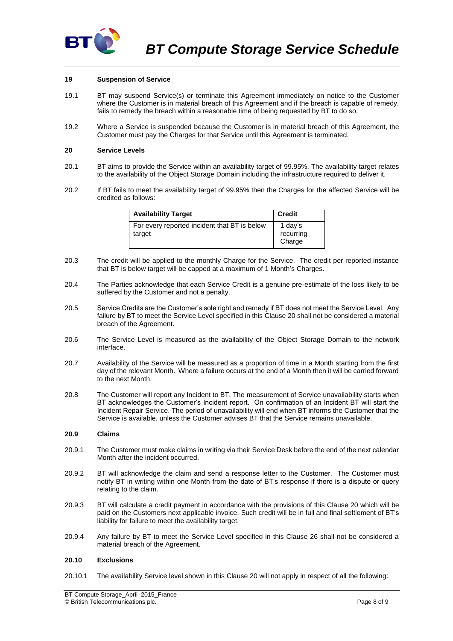

### **19 Suspension of Service**

- 19.1 BT may suspend Service(s) or terminate this Agreement immediately on notice to the Customer where the Customer is in material breach of this Agreement and if the breach is capable of remedy, fails to remedy the breach within a reasonable time of being requested by BT to do so.
- 19.2 Where a Service is suspended because the Customer is in material breach of this Agreement, the Customer must pay the Charges for that Service until this Agreement is terminated.

#### <span id="page-7-0"></span>**20 Service Levels**

- 20.1 BT aims to provide the Service within an availability target of 99.95%. The availability target relates to the availability of the Object Storage Domain including the infrastructure required to deliver it.
- 20.2 If BT fails to meet the availability target of 99.95% then the Charges for the affected Service will be credited as follows:

| <b>Availability Target</b>                             | <b>Credit</b>                  |
|--------------------------------------------------------|--------------------------------|
| For every reported incident that BT is below<br>target | 1 day's<br>recurring<br>Charge |

- 20.3 The credit will be applied to the monthly Charge for the Service. The credit per reported instance that BT is below target will be capped at a maximum of 1 Month's Charges.
- 20.4 The Parties acknowledge that each Service Credit is a genuine pre-estimate of the loss likely to be suffered by the Customer and not a penalty.
- 20.5 Service Credits are the Customer's sole right and remedy if BT does not meet the Service Level. Any failure by BT to meet the Service Level specified in this Clause [20](#page-7-0) shall not be considered a material breach of the Agreement.
- 20.6 The Service Level is measured as the availability of the Object Storage Domain to the network interface.
- 20.7 Availability of the Service will be measured as a proportion of time in a Month starting from the first day of the relevant Month. Where a failure occurs at the end of a Month then it will be carried forward to the next Month.
- 20.8 The Customer will report any Incident to BT. The measurement of Service unavailability starts when BT acknowledges the Customer's Incident report. On confirmation of an Incident BT will start the Incident Repair Service. The period of unavailability will end when BT informs the Customer that the Service is available, unless the Customer advises BT that the Service remains unavailable.

#### **20.9 Claims**

- 20.9.1 The Customer must make claims in writing via their Service Desk before the end of the next calendar Month after the incident occurred.
- 20.9.2 BT will acknowledge the claim and send a response letter to the Customer. The Customer must notify BT in writing within one Month from the date of BT's response if there is a dispute or query relating to the claim.
- 20.9.3 BT will calculate a credit payment in accordance with the provisions of this Clause [20](#page-7-0) which will be paid on the Customers next applicable invoice. Such credit will be in full and final settlement of BT's liability for failure to meet the availability target.
- 20.9.4 Any failure by BT to meet the Service Level specified in this Clause 26 shall not be considered a material breach of the Agreement.

### **20.10 Exclusions**

20.10.1 The availability Service level shown in this Clause [20](#page-7-0) will not apply in respect of all the following: